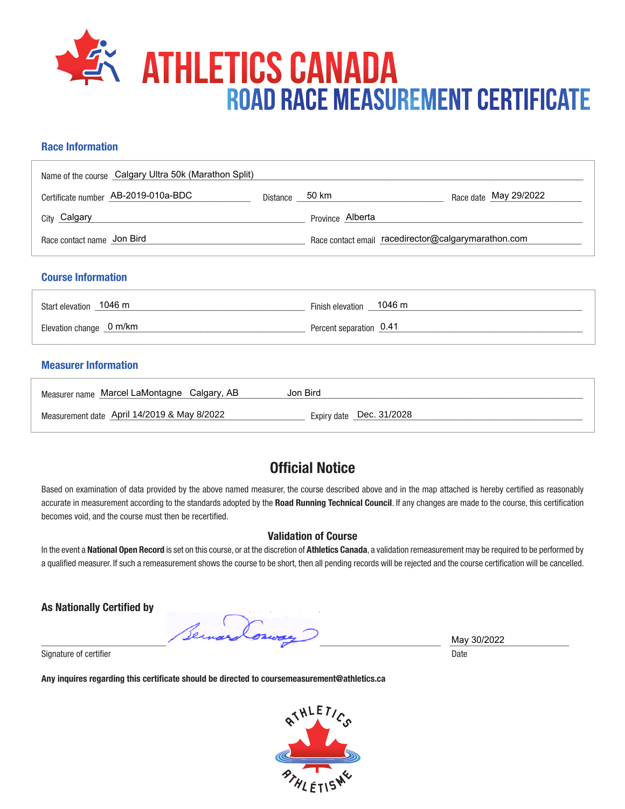

## **Race Information**

| Name of the course Calgary Ultra 50k (Marathon Split) |                |                  |                                                     |
|-------------------------------------------------------|----------------|------------------|-----------------------------------------------------|
| Certificate number AB-2019-010a-BDC                   | Distance 50 km |                  | Race date May 29/2022                               |
| City Calgary                                          |                | Province Alberta |                                                     |
| Race contact name Jon Bird                            |                |                  | Race contact email racedirector@calgarymarathon.com |
| <b>Course Information</b>                             |                |                  |                                                     |
| Start elevation _1046 m                               |                | Finish elevation | 1046 m                                              |

Elevation change \_0 m/km

## **Measurer Information**

| Measurer name Marcel LaMontagne Calgary, AB | Jon Bird                 |
|---------------------------------------------|--------------------------|
| Measurement date April 14/2019 & May 8/2022 | Expiry date Dec. 31/2028 |

Percent separation  $0.41$ 

## **Official Notice**

Based on examination of data provided by the above named measurer, the course described above and in the map attached is hereby certified as reasonably accurate in measurement according to the standards adopted by the **Road Running Technical Council**. If any changes are made to the course, this certification becomes void, and the course must then be recertified.

## **Validation of Course**

In the event a **National Open Record** is set on this course, or at the discretion of **Athletics Canada**, a validation remeasurement may be required to be performed by a qualified measurer. If such a remeasurement shows the course to be short, then all pending records will be rejected and the course certification will be cancelled.

**As Nationally Certified by**

\_\_\_\_\_\_\_\_\_\_\_\_\_\_\_\_\_\_\_\_\_\_\_\_\_\_\_\_\_\_\_\_\_\_\_\_\_\_\_\_\_\_\_\_\_\_\_\_\_\_\_\_\_\_\_\_\_\_\_\_\_\_\_\_\_\_\_\_\_\_\_\_\_\_\_\_\_\_\_\_\_\_\_\_\_\_\_ \_\_\_\_\_\_\_\_\_\_\_\_\_\_\_\_\_\_\_\_\_\_\_\_\_\_

Signature of certifier Date Date of Certifier and Contract of Certifier and Date Date of Certifier and Date Date of Certifier and Date of Certifier and Date of Certifier and Date of Certifier and Date of Certifier and Date

**Any inquires regarding this certificate should be directed to coursemeasurement@athletics.ca**



May 30/2022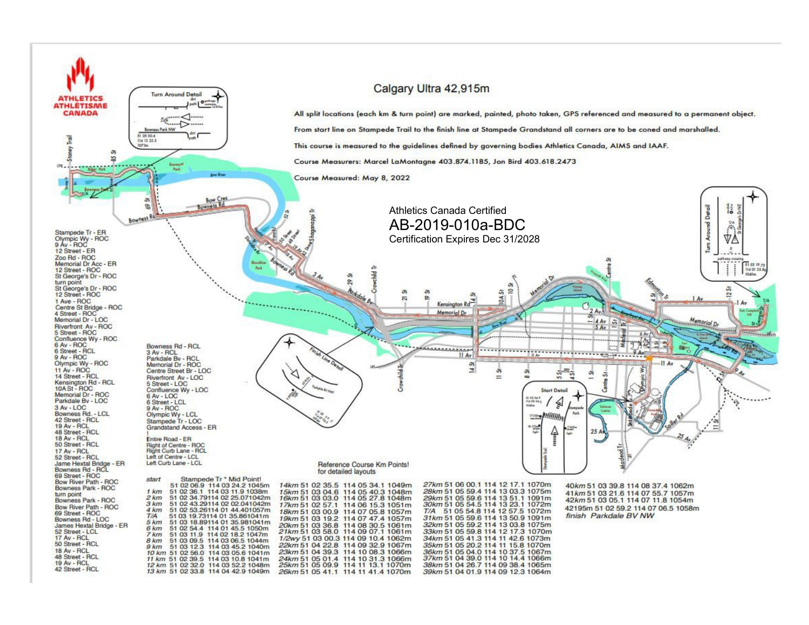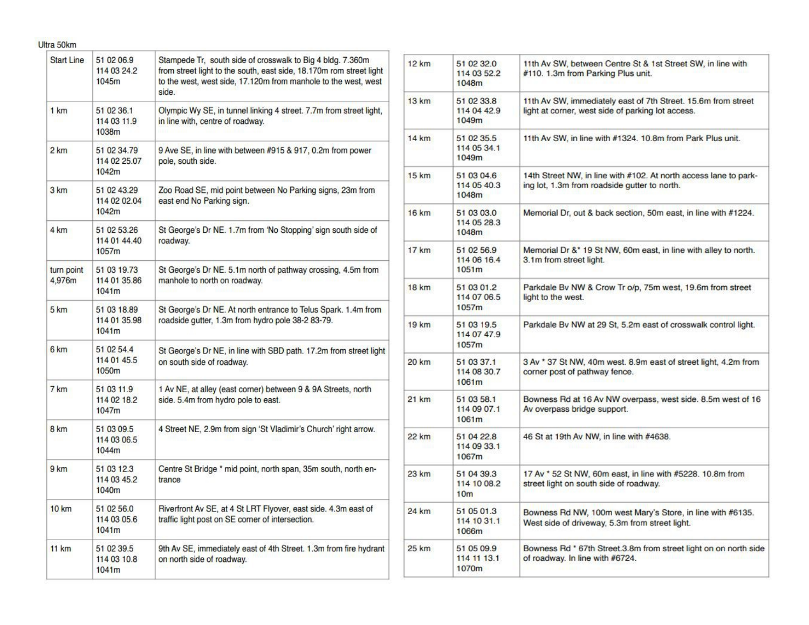| Start Line           | 51 02 06 9<br>114 03 24.2<br>1045m   | Stampede Tr, south side of crosswalk to Big 4 bldg. 7.360m<br>from street light to the south, east side, 18.170m rom street light<br>to the west, west side, 17.120m from manhole to the west, west<br>side. |
|----------------------|--------------------------------------|--------------------------------------------------------------------------------------------------------------------------------------------------------------------------------------------------------------|
| 1 km                 | 51 02 36.1<br>114 03 11.9<br>1038m   | Olympic Wy SE, in tunnel linking 4 street. 7.7m from street light,<br>in line with, centre of roadway.                                                                                                       |
| 2 km                 | 51 02 34.79<br>114 02 25.07<br>1042m | 9 Ave SE, in line with between #915 & 917, 0.2m from power<br>pole, south side.                                                                                                                              |
| 3 km                 | 51 02 43 29<br>114 02 02.04<br>1042m | Zoo Road SE, mid point between No Parking signs, 23m from<br>east end No Parking sign.                                                                                                                       |
| 4 km                 | 51 02 53 26<br>114 01 44.40<br>1057m | St George's Dr NE. 1.7m from 'No Stopping' sign south side of<br>roadway.                                                                                                                                    |
| turn point<br>4,976m | 51 03 19.73<br>114 01 35.86<br>1041m | St George's Dr NE. 5.1m north of pathway crossing, 4.5m from<br>manhole to north on roadway.                                                                                                                 |
| 5 km                 | 51 03 18.89<br>114 01 35.98<br>1041m | St George's Dr NE. At north entrance to Telus Spark. 1.4m from<br>roadside gutter, 1.3m from hydro pole 38-2 83-79.                                                                                          |
| 6 km                 | 51 02 54 4<br>114 01 45.5<br>1050m   | St George's Dr NE, in line with SBD path. 17.2m from street light<br>on south side of roadway.                                                                                                               |
| 7 km                 | 51 03 11.9<br>114 02 18.2<br>1047m   | 1 Av NE, at alley (east corner) between 9 & 9A Streets, north<br>side. 5.4m from hydro pole to east.                                                                                                         |
| 8 km                 | 51 03 09.5<br>114 03 06.5<br>1044m   | 4 Street NE, 2.9m from sign 'St Vladimir's Church' right arrow.                                                                                                                                              |
| 9 km                 | 51 03 12.3<br>114 03 45.2<br>1040m   | Centre St Bridge * mid point, north span, 35m south, north en-<br>trance                                                                                                                                     |
| <b>10 km</b>         | 51 02 56.0<br>114 03 05.6<br>1041m   | Riverfront Av SE, at 4 St LRT Flyover, east side. 4.3m east of<br>traffic light post on SE corner of intersection.                                                                                           |
| 11 km                | 51 02 39.5<br>114 03 10.8<br>1041m   | 9th Av SE, immediately east of 4th Street. 1.3m from fire hydrant<br>on north side of roadway.                                                                                                               |

Ultra 50km

| 12 km        | 51 02 32.0<br>114 03 52.2<br>1048m           | 11th Av SW, between Centre St & 1st Street SW, in line with<br>#110. 1.3m from Parking Plus unit.                  |
|--------------|----------------------------------------------|--------------------------------------------------------------------------------------------------------------------|
| 13 km        | 51 02 33.8<br>114 04 42.9<br>1049m           | 11th Av SW, immediately east of 7th Street. 15.6m from street<br>light at corner, west side of parking lot access. |
| 14 km        | 51 02 35.5<br>114 05 34.1<br>1049m           | 11th Av SW, in line with #1324. 10.8m from Park Plus unit.                                                         |
| 15 km        | 51 03 04 6<br>114 05 40.3<br>1048m           | 14th Street NW, in line with #102. At north access lane to park-<br>ing lot, 1.3m from roadside gutter to north.   |
| 16 km        | 51 03 03.0<br>114 05 28.3<br>1048m           | Memorial Dr, out & back section, 50m east, in line with #1224.                                                     |
| 17 km        | 51 02 56.9<br>114 06 16.4<br>1051m           | Memorial Dr &* 19 St NW, 60m east, in line with alley to north.<br>3.1m from street light.                         |
| <b>18 km</b> | 51 03 01.2<br>114 07 06.5<br>1057m           | Parkdale Bv NW & Crow Tr o/p, 75m west, 19.6m from street<br>light to the west.                                    |
| 19 km        | 51 03 19.5<br>114 07 47.9<br>1057m           | Parkdale Bv NW at 29 St, 5.2m east of crosswalk control light.                                                     |
| 20 km        | 51 03 37.1<br>114 08 30.7<br>1061m           | 3 Av * 37 St NW, 40m west. 8.9m east of street light, 4.2m from<br>corner post of pathway fence.                   |
| 21 km        | 51 03 58.1<br>114 09 07.1<br>1061m           | Bowness Rd at 16 Av NW overpass, west side. 8.5m west of 16<br>Av overpass bridge support.                         |
| 22 km        | 51 04 22.8<br>114 09 33.1<br>1067m           | 46 St at 19th Av NW, in line with #4638.                                                                           |
| 23 km        | 51 04 39.3<br>114 10 08.2<br>10 <sub>m</sub> | 17 Av * 52 St NW, 60m east, in line with #5228. 10.8m from<br>street light on south side of roadway.               |
| 24 km        | 51 05 01.3<br>114 10 31.1<br>1066m           | Bowness Rd NW, 100m west Mary's Store, in line with #6135.<br>West side of driveway, 5.3m from street light.       |
| 25 km        | 51 05 09.9<br>114 11 13.1<br>1070m           | Bowness Rd * 67th Street.3.8m from street light on on north side<br>of roadway. In line with #6724.                |